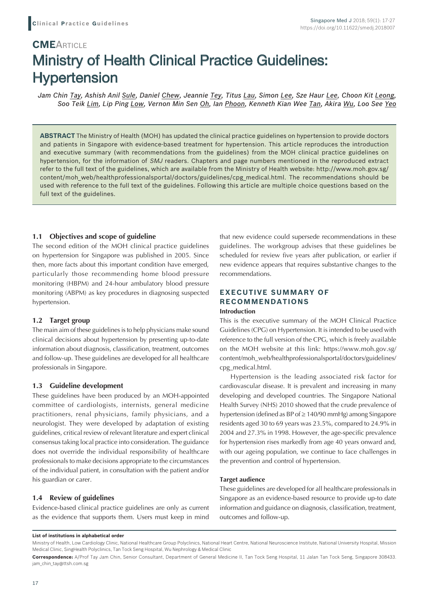# **CME**ARTICLE Ministry of Health Clinical Practice Guidelines: **Hypertension**

*Jam Chin Tay, Ashish Anil Sule, Daniel Chew, Jeannie Tey, Titus Lau, Simon Lee, Sze Haur Lee, Choon Kit Leong, Soo Teik Lim, Lip Ping Low, Vernon Min Sen Oh, Ian Phoon, Kenneth Kian Wee Tan, Akira Wu, Loo See Yeo*

**ABSTRACT** The Ministry of Health (MOH) has updated the clinical practice guidelines on hypertension to provide doctors and patients in Singapore with evidence-based treatment for hypertension. This article reproduces the introduction and executive summary (with recommendations from the guidelines) from the MOH clinical practice guidelines on hypertension, for the information of SMJ readers. Chapters and page numbers mentioned in the reproduced extract refer to the full text of the guidelines, which are available from the Ministry of Health website: http://www.moh.gov.sg/ content/moh\_web/healthprofessionalsportal/doctors/guidelines/cpg\_medical.html. The recommendations should be used with reference to the full text of the guidelines. Following this article are multiple choice questions based on the full text of the guidelines.

# **1.1 Objectives and scope of guideline**

The second edition of the MOH clinical practice guidelines on hypertension for Singapore was published in 2005. Since then, more facts about this important condition have emerged, particularly those recommending home blood pressure monitoring (HBPM) and 24-hour ambulatory blood pressure monitoring (ABPM) as key procedures in diagnosing suspected hypertension.

# **1.2 Target group**

The main aim of these guidelines is to help physicians make sound clinical decisions about hypertension by presenting up-to-date information about diagnosis, classification, treatment, outcomes and follow-up. These guidelines are developed for all healthcare professionals in Singapore.

# **1.3 Guideline development**

These guidelines have been produced by an MOH-appointed committee of cardiologists, internists, general medicine practitioners, renal physicians, family physicians, and a neurologist. They were developed by adaptation of existing guidelines, critical review of relevant literature and expert clinical consensus taking local practice into consideration. The guidance does not override the individual responsibility of healthcare professionals to make decisions appropriate to the circumstances of the individual patient, in consultation with the patient and/or his guardian or carer.

# **1.4 Review of guidelines**

Evidence-based clinical practice guidelines are only as current as the evidence that supports them. Users must keep in mind that new evidence could supersede recommendations in these guidelines. The workgroup advises that these guidelines be scheduled for review five years after publication, or earlier if new evidence appears that requires substantive changes to the recommendations.

# **EXECUTIVE SUMMARY OF RECOMMENDATIONS Introduction**

This is the executive summary of the MOH Clinical Practice Guidelines (CPG) on Hypertension. It is intended to be used with reference to the full version of the CPG, which is freely available on the MOH website at this link: https://www.moh.gov.sg/ content/moh\_web/healthprofessionalsportal/doctors/guidelines/ cpg\_medical.html.

Hypertension is the leading associated risk factor for cardiovascular disease. It is prevalent and increasing in many developing and developed countries. The Singapore National Health Survey (NHS) 2010 showed that the crude prevalence of hypertension (defined as BP of ≥ 140/90 mmHg) among Singapore residents aged 30 to 69 years was 23.5%, compared to 24.9% in 2004 and 27.3% in 1998. However, the age-specific prevalence for hypertension rises markedly from age 40 years onward and, with our ageing population, we continue to face challenges in the prevention and control of hypertension.

#### **Target audience**

These guidelines are developed for all healthcare professionals in Singapore as an evidence-based resource to provide up-to date information and guidance on diagnosis, classification, treatment, outcomes and follow-up.

#### **List of institutions in alphabetical order**

Ministry of Health, Low Cardiology Clinic, National Healthcare Group Polyclinics, National Heart Centre, National Neuroscience Institute, National University Hospital, Mission Medical Clinic, SingHealth Polyclinics, Tan Tock Seng Hospital, Wu Nephrology & Medical Clinic

**Correspondence:** A/Prof Tay Jam Chin, Senior Consultant, Department of General Medicine II, Tan Tock Seng Hospital, 11 Jalan Tan Tock Seng, Singapore 308433. jam\_chin\_tay@ttsh.com.sg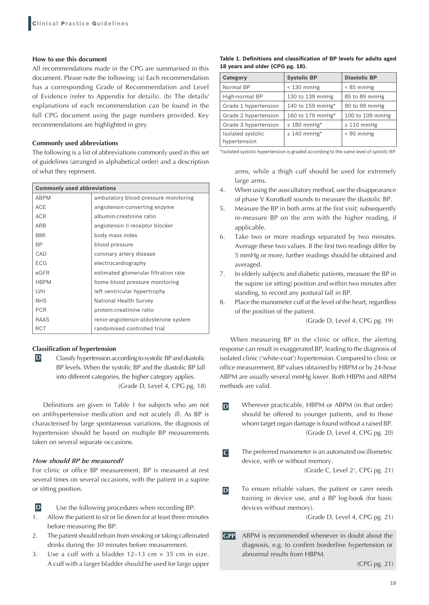#### **How to use this document**

All recommendations made in the CPG are summarised in this document. Please note the following: (a) Each recommendation has a corresponding Grade of Recommendation and Level of Evidence (refer to Appendix for details). (b) The details/ explanations of each recommendation can be found in the full CPG document using the page numbers provided. Key recommendations are highlighted in grey.

# **Commonly used abbreviations**

The following is a list of abbreviations commonly used in this set of guidelines (arranged in alphabetical order) and a description of what they represent.

| <b>Commonly used abbreviations</b> |                                      |  |
|------------------------------------|--------------------------------------|--|
| <b>ABPM</b>                        | ambulatory blood pressure monitoring |  |
| <b>ACE</b>                         | angiotensin-converting enzyme        |  |
| <b>ACR</b>                         | albumin: creatinine ratio            |  |
| <b>ARB</b>                         | angiotensin II receptor blocker      |  |
| <b>BMI</b>                         | body mass index                      |  |
| ВP                                 | blood pressure                       |  |
| CAD                                | coronary artery disease              |  |
| <b>ECG</b>                         | electrocardiography                  |  |
| eGFR                               | estimated glomerular filtration rate |  |
| <b>HBPM</b>                        | home blood pressure monitoring       |  |
| <b>LVH</b>                         | left ventricular hypertrophy         |  |
| <b>NHS</b>                         | National Health Survey               |  |
| <b>PCR</b>                         | protein: creatinine ratio            |  |
| RAAS                               | renin-angiotensin-aldosterone system |  |
| <b>RCT</b>                         | randomised controlled trial          |  |

# **Classification of hypertension**

**D** Classify hypertension according to systolic BP and diastolic BP levels. When the systolic BP and the diastolic BP fall into different categories, the higher category applies. (Grade D, Level 4, CPG pg. 18)

Definitions are given in Table 1 for subjects who are not on antihypertensive medication and not acutely ill. As BP is characterised by large spontaneous variations, the diagnosis of hypertension should be based on multiple BP measurements taken on several separate occasions.

# *How should BP be measured?*

For clinic or office BP measurement, BP is measured at rest several times on several occasions, with the patient in a supine or sitting position.

**D** Use the following procedures when recording BP:

- 1. Allow the patient to sit or lie down for at least three minutes before measuring the BP.
- 2. The patient should refrain from smoking or taking caffeinated drinks during the 30 minutes before measurement.
- 3. Use a cuff with a bladder  $12-13$  cm  $\times$  35 cm in size. A cuff with a larger bladder should be used for large upper

|                                  | Table 1. Definitions and classification of BP levels for adults aged |  |  |  |
|----------------------------------|----------------------------------------------------------------------|--|--|--|
| 18 years and older (CPG pg. 18). |                                                                      |  |  |  |

| Category                          | <b>Systolic BP</b>           | <b>Diastolic BP</b> |
|-----------------------------------|------------------------------|---------------------|
| Normal BP                         | $<$ 130 mmHg                 | $< 85$ mmHg         |
| High-normal BP                    | 130 to 139 mmHg              | 85 to 89 mmHg       |
| Grade 1 hypertension              | 140 to 159 mmHg*             | 90 to 99 mmHg       |
| Grade 2 hypertension              | 160 to 179 mmHg*             | 100 to 109 mmHg     |
| Grade 3 hypertension              | $\geq 180$ mmHg <sup>*</sup> | $\geq 110$ mmHg     |
| Isolated systolic<br>hypertension | $\geq 140$ mmHg <sup>*</sup> | $< 90$ mmHg         |

\*Isolated systolic hypertension is graded according to the same level of systolic BP.

arms, while a thigh cuff should be used for extremely large arms.

- 4. When using the auscultatory method, use the disappearance of phase V Korotkoff sounds to measure the diastolic BP.
- 5. Measure the BP in both arms at the first visit; subsequently re-measure BP on the arm with the higher reading, if applicable.
- 6. Take two or more readings separated by two minutes. Average these two values. If the first two readings differ by 5 mmHg or more, further readings should be obtained and averaged.
- 7. In elderly subjects and diabetic patients, measure the BP in the supine (or sitting) position and within two minutes after standing, to record any postural fall in BP.
- 8. Place the manometer cuff at the level of the heart, regardless of the position of the patient.

(Grade D, Level 4, CPG pg. 19)

When measuring BP in the clinic or office, the alerting response can result in exaggerated BP, leading to the diagnosis of isolated clinic ('white-coat') hypertension. Compared to clinic or office measurement, BP values obtained by HBPM or by 24-hour ABPM are usually several mmHg lower. Both HBPM and ABPM methods are valid.

- **D** Wherever practicable, HBPM or ABPM (in that order) should be offered to younger patients, and to those whom target organ damage is found without a raised BP. (Grade D, Level 4, CPG pg. 20)
- **C** The preferred manometer is an automated oscillometric device, with or without memory.

(Grade C, Level 2+, CPG pg. 21)

**D** To ensure reliable values, the patient or carer needs training in device use, and a BP log-book (for basic devices without memory).

(Grade D, Level 4, CPG pg. 21)

**GPP** ABPM is recommended whenever in doubt about the diagnosis, e.g. to confirm borderline hypertension or abnormal results from HBPM.

(CPG pg. 21)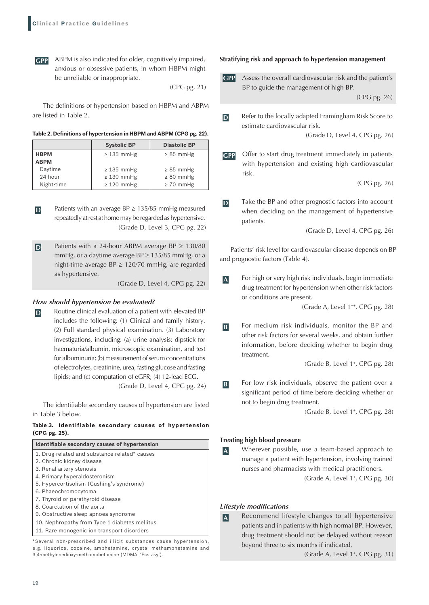**GPP** ABPM is also indicated for older, cognitively impaired, anxious or obsessive patients, in whom HBPM might be unreliable or inappropriate.

(CPG pg. 21)

The definitions of hypertension based on HBPM and ABPM are listed in Table 2.

|             | <b>Systolic BP</b> | <b>Diastolic BP</b> |
|-------------|--------------------|---------------------|
| <b>HBPM</b> | $\geq$ 135 mmHg    | $\geq$ 85 mmHg      |
| <b>ABPM</b> |                    |                     |
| Daytime     | $\geq$ 135 mmHg    | $\geq$ 85 mmHg      |
| 24-hour     | $\geq$ 130 mmHg    | $\geq 80$ mmHg      |
| Night-time  | $\geq 120$ mmHg    | $\geq 70$ mmHg      |

**D** Patients with an average BP ≥ 135/85 mmHg measured repeatedly at rest at home may be regarded as hypertensive. (Grade D, Level 3, CPG pg. 22)

**D** Patients with a 24-hour ABPM average BP ≥ 130/80 mmHg, or a daytime average  $BP \ge 135/85$  mmHg, or a night-time average  $BP \ge 120/70$  mmHg, are regarded as hypertensive.

(Grade D, Level 4, CPG pg. 22)

### *How should hypertension be evaluated?*

**D** Routine clinical evaluation of a patient with elevated BP includes the following: (1) Clinical and family history. (2) Full standard physical examination. (3) Laboratory investigations, including: (a) urine analysis: dipstick for haematuria/albumin, microscopic examination, and test for albuminuria; (b) measurement of serum concentrations of electrolytes, creatinine, urea, fasting glucose and fasting lipids; and (c) computation of eGFR; (4) 12-lead ECG. (Grade D, Level 4, CPG pg. 24)

The identifiable secondary causes of hypertension are listed in Table 3 below.

### **Table 3. Identifiable secondary causes of hypertension (CPG pg. 25).**

| Identifiable secondary causes of hypertension                  |
|----------------------------------------------------------------|
| 1. Drug-related and substance-related* causes                  |
| 2. Chronic kidney disease                                      |
| 3. Renal artery stenosis                                       |
| 4. Primary hyperaldosteronism                                  |
| 5. Hypercortisolism (Cushing's syndrome)                       |
| 6. Phaeochromocytoma                                           |
| 7. Thyroid or parathyroid disease                              |
| 8. Coarctation of the aorta                                    |
| 9. Obstructive sleep apnoea syndrome                           |
| 10. Nephropathy from Type 1 diabetes mellitus                  |
| 11. Rare monogenic ion transport disorders                     |
| *Several non-prescribed and illicit substances cause bypertens |

\*Several non-prescribed and illicit substances cause hypertension, e.g. liquorice, cocaine, amphetamine, crystal methamphetamine and 3,4-methylenedioxy-methamphetamine (MDMA, 'Ecstasy').

#### **Stratifying risk and approach to hypertension management**

**GPP** Assess the overall cardiovascular risk and the patient's BP to guide the management of high BP.

(CPG pg. 26)

**D** Refer to the locally adapted Framingham Risk Score to estimate cardiovascular risk.

(Grade D, Level 4, CPG pg. 26)

**GPP** Offer to start drug treatment immediately in patients with hypertension and existing high cardiovascular risk.

(CPG pg. 26)

**D** Take the BP and other prognostic factors into account when deciding on the management of hypertensive patients.

(Grade D, Level 4, CPG pg. 26)

Patients' risk level for cardiovascular disease depends on BP and prognostic factors (Table 4).

**A** For high or very high risk individuals, begin immediate drug treatment for hypertension when other risk factors or conditions are present.

(Grade A, Level 1<sup>++</sup>, CPG pg. 28)

**B** For medium risk individuals, monitor the BP and other risk factors for several weeks, and obtain further information, before deciding whether to begin drug treatment.

(Grade B, Level 1<sup>+</sup>, CPG pg. 28)

**B** For low risk individuals, observe the patient over a significant period of time before deciding whether or not to begin drug treatment.

(Grade B, Level 1<sup>+</sup>, CPG pg. 28)

#### **Treating high blood pressure**

**A** Wherever possible, use a team-based approach to manage a patient with hypertension, involving trained nurses and pharmacists with medical practitioners.

(Grade A, Level 1<sup>+</sup>, CPG pg. 30)

#### *Lifestyle modifications*

**A** Recommend lifestyle changes to all hypertensive patients and in patients with high normal BP. However, drug treatment should not be delayed without reason beyond three to six months if indicated.

(Grade A, Level 1<sup>+</sup>, CPG pg. 31)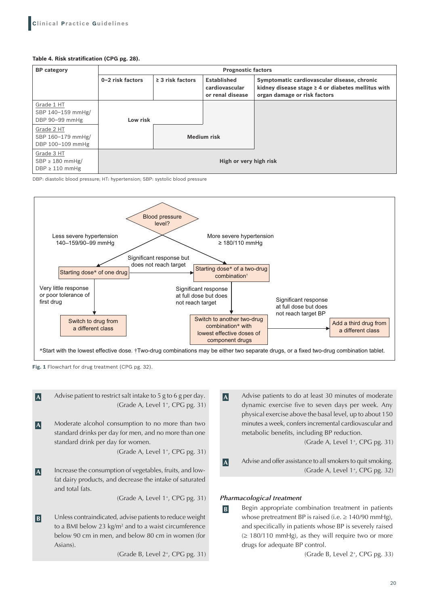#### **Table 4. Risk stratification (CPG pg. 28).**

| <b>BP</b> category                                                                                       | <b>Prognostic factors</b> |                       |                                                          |                                                                                                                                        |
|----------------------------------------------------------------------------------------------------------|---------------------------|-----------------------|----------------------------------------------------------|----------------------------------------------------------------------------------------------------------------------------------------|
|                                                                                                          | 0-2 risk factors          | $\geq$ 3 risk factors | <b>Established</b><br>cardiovascular<br>or renal disease | Symptomatic cardiovascular disease, chronic<br>kidney disease stage $\geq 4$ or diabetes mellitus with<br>organ damage or risk factors |
| Grade 1 HT<br>SBP 140-159 mmHg/<br>DBP 90-99 mmHg<br>Grade 2 HT<br>SBP 160-179 mmHg/<br>DBP 100-109 mmHg | Low risk                  |                       | <b>Medium risk</b>                                       |                                                                                                                                        |
| Grade 3 HT<br>$SBP \geq 180$ mmHg/<br>$DBP \geq 110$ mmHg                                                |                           |                       | High or very high risk                                   |                                                                                                                                        |

DBP: diastolic blood pressure; HT: hypertension; SBP: systolic blood pressure



**Fig. 1** Flowchart for drug treatment (CPG pg. 32).



to a BMI below 23 kg/m<sup>2</sup> and to a waist circumference below 90 cm in men, and below 80 cm in women (for Asians).

(Grade B, Level 2+, CPG pg. 31)

**A** Advise patients to do at least 30 minutes of moderate dynamic exercise five to seven days per week. Any physical exercise above the basal level, up to about 150 minutes a week, confers incremental cardiovascular and metabolic benefits, including BP reduction.

(Grade A, Level 1<sup>+</sup>, CPG pg. 31)

**A** Advise and offer assistance to all smokers to quit smoking. (Grade A, Level 1+, CPG pg. 32)

# *Pharmacological treatment*

**B** Begin appropriate combination treatment in patients whose pretreatment BP is raised (i.e.  $\geq$  140/90 mmHg), and specifically in patients whose BP is severely raised  $(≥ 180/110$  mmHg), as they will require two or more drugs for adequate BP control.

(Grade B, Level 2+, CPG pg. 33)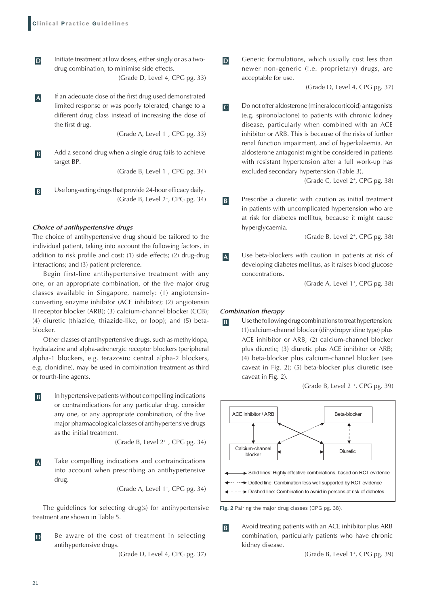**D** Initiate treatment at low doses, either singly or as a twodrug combination, to minimise side effects.

(Grade D, Level 4, CPG pg. 33)

**A** If an adequate dose of the first drug used demonstrated limited response or was poorly tolerated, change to a different drug class instead of increasing the dose of the first drug.

(Grade A, Level 1<sup>+</sup>, CPG pg. 33)

**B** Add a second drug when a single drug fails to achieve target BP.

(Grade B, Level 1<sup>+</sup>, CPG pg. 34)

**B** Use long-acting drugs that provide 24-hour efficacy daily. (Grade B, Level 2+, CPG pg. 34)

#### *Choice of antihypertensive drugs*

The choice of antihypertensive drug should be tailored to the individual patient, taking into account the following factors, in addition to risk profile and cost: (1) side effects; (2) drug-drug interactions; and (3) patient preference.

Begin first-line antihypertensive treatment with any one, or an appropriate combination, of the five major drug classes available in Singapore, namely: (1) angiotensinconverting enzyme inhibitor (ACE inhibitor); (2) angiotensin II receptor blocker (ARB); (3) calcium-channel blocker (CCB); (4) diuretic (thiazide, thiazide-like, or loop); and (5) betablocker.

Other classes of antihypertensive drugs, such as methyldopa, hydralazine and alpha-adrenergic receptor blockers (peripheral alpha-1 blockers, e.g. terazosin; central alpha-2 blockers, e.g. clonidine), may be used in combination treatment as third or fourth-line agents.

**B** In hypertensive patients without compelling indications or contraindications for any particular drug, consider any one, or any appropriate combination, of the five major pharmacological classes of antihypertensive drugs as the initial treatment.

(Grade B, Level 2++, CPG pg. 34)

**A** Take compelling indications and contraindications into account when prescribing an antihypertensive drug.

(Grade A, Level 1<sup>+</sup>, CPG pg. 34)

The guidelines for selecting drug(s) for antihypertensive treatment are shown in Table 5.

**D** Be aware of the cost of treatment in selecting antihypertensive drugs.

(Grade D, Level 4, CPG pg. 37)

**D** Generic formulations, which usually cost less than newer non-generic (i.e. proprietary) drugs, are acceptable for use.

(Grade D, Level 4, CPG pg. 37)

**C** Do not offer aldosterone (mineralocorticoid) antagonists (e.g. spironolactone) to patients with chronic kidney disease, particularly when combined with an ACE inhibitor or ARB. This is because of the risks of further renal function impairment, and of hyperkalaemia. An aldosterone antagonist might be considered in patients with resistant hypertension after a full work-up has excluded secondary hypertension (Table 3).

(Grade C, Level 2+, CPG pg. 38)

**B** Prescribe a diuretic with caution as initial treatment in patients with uncomplicated hypertension who are at risk for diabetes mellitus, because it might cause hyperglycaemia.

(Grade B, Level 2+, CPG pg. 38)

**A** Use beta-blockers with caution in patients at risk of developing diabetes mellitus, as it raises blood glucose concentrations.

(Grade A, Level 1+, CPG pg. 38)

#### *Combination therapy*

**B** Use the following drug combinations to treat hypertension: (1)calcium-channel blocker (dihydropyridine type) plus ACE inhibitor or ARB; (2) calcium-channel blocker plus diuretic; (3) diuretic plus ACE inhibitor or ARB; (4) beta-blocker plus calcium-channel blocker (see caveat in Fig. 2); (5) beta-blocker plus diuretic (see caveat in Fig. 2).

(Grade B, Level 2++, CPG pg. 39)



**Fig. 2** Pairing the major drug classes (CPG pg. 38).

**B** Avoid treating patients with an ACE inhibitor plus ARB combination, particularly patients who have chronic kidney disease.

(Grade B, Level 1<sup>+</sup>, CPG pg. 39)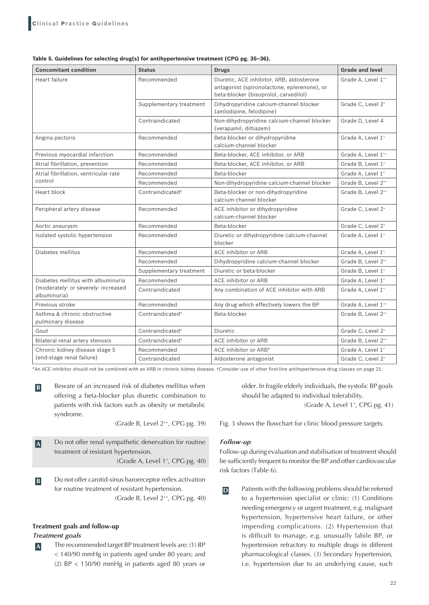| Table 5. Guidelines for selecting drug(s) for antihypertensive treatment (CPG pg. 35-36). |  |  |
|-------------------------------------------------------------------------------------------|--|--|
|-------------------------------------------------------------------------------------------|--|--|

| <b>Concomitant condition</b>                        | <b>Status</b>                | <b>Drugs</b>                                                                                                                      | <b>Grade and level</b>         |
|-----------------------------------------------------|------------------------------|-----------------------------------------------------------------------------------------------------------------------------------|--------------------------------|
| Heart failure                                       | Recommended                  | Diuretic, ACE inhibitor, ARB, aldosterone<br>antagonist (spironolactone, eplerenone), or<br>beta-blocker (bisoprolol, carvedilol) | Grade A, Level 1**             |
|                                                     | Supplementary treatment      | Dihydropyridine calcium-channel blocker<br>(amlodipine, felodipine)                                                               | Grade C, Level 2 <sup>+</sup>  |
|                                                     | Contraindicated              | Non-dihydropyridine calcium-channel blocker<br>(verapamil, diltiazem)                                                             | Grade D, Level 4               |
| Angina pectoris                                     | Recommended                  | Beta-blocker or dihydropyridine<br>calcium-channel blocker                                                                        | Grade A, Level 1 <sup>+</sup>  |
| Previous myocardial infarction                      | Recommended                  | Beta-blocker, ACE inhibitor, or ARB                                                                                               | Grade A, Level 1**             |
| Atrial fibrillation, prevention                     | Recommended                  | Beta-blocker, ACE inhibitor, or ARB                                                                                               | Grade B, Level 1 <sup>+</sup>  |
| Atrial fibrillation, ventricular rate               | Recommended                  | Beta-blocker                                                                                                                      | Grade A, Level 1 <sup>+</sup>  |
| control                                             | Recommended                  | Non-dihydropyridine calcium-channel blocker                                                                                       | Grade B, Level 2 <sup>++</sup> |
| Heart block                                         | Contraindicated <sup>+</sup> | Beta-blocker or non-dihydropyridine<br>calcium-channel blocker                                                                    | Grade B. Level 2**             |
| Peripheral artery disease                           | Recommended                  | ACE inhibitor or dihydropyridine<br>calcium-channel blocker                                                                       | Grade C, Level 2 <sup>+</sup>  |
| Aortic aneurysm                                     | Recommended                  | Beta-blocker                                                                                                                      | Grade C, Level 2 <sup>+</sup>  |
| Isolated systolic hypertension                      | Recommended                  | Diuretic or dihydropyridine calcium-channel<br>blocker                                                                            | Grade A, Level 1 <sup>+</sup>  |
| Diabetes mellitus                                   | Recommended                  | ACE inhibitor or ARB                                                                                                              | Grade A, Level 1 <sup>+</sup>  |
|                                                     | Recommended                  | Dihydropyridine calcium-channel blocker                                                                                           | Grade B. Level 2 <sup>++</sup> |
|                                                     | Supplementary treatment      | Diuretic or beta-blocker                                                                                                          | Grade B, Level 1 <sup>+</sup>  |
| Diabetes mellitus with albuminuria                  | Recommended                  | ACE inhibitor or ARB                                                                                                              | Grade A, Level 1 <sup>+</sup>  |
| (moderately- or severely- increased<br>albuminuria) | Contraindicated              | Any combination of ACE inhibitor with ARB                                                                                         | Grade A, Level 1 <sup>+</sup>  |
| Previous stroke                                     | Recommended                  | Any drug which effectively lowers the BP                                                                                          | Grade A, Level 1**             |
| Asthma & chronic obstructive<br>pulmonary disease   | Contraindicated <sup>+</sup> | Beta-blocker                                                                                                                      | Grade B, Level 2++             |
| Gout                                                | Contraindicated <sup>+</sup> | Diuretic                                                                                                                          | Grade C, Level 2 <sup>+</sup>  |
| Bilateral renal artery stenosis                     | Contraindicated <sup>+</sup> | ACE inhibitor or ARB                                                                                                              | Grade B, Level 2**             |
| Chronic kidney disease stage 5                      | Recommended                  | ACE inhibitor or ARB*                                                                                                             | Grade A, Level 1 <sup>+</sup>  |
| (end-stage renal failure)                           | Contraindicated              | Aldosterone antagonist                                                                                                            | Grade C, Level 2 <sup>+</sup>  |

\*An ACE inhibitor should not be combined with an ARB in chronic kidney disease. †Consider use of other first-line antihypertensive drug classes on page 21.

**B** Beware of an increased risk of diabetes mellitus when offering a beta-blocker plus diuretic combination to patients with risk factors such as obesity or metabolic syndrome.

(Grade B, Level 2++, CPG pg. 39)

- **A** Do not offer renal sympathetic denervation for routine treatment of resistant hypertension. (Grade A, Level 1<sup>+</sup>, CPG pg. 40)
- **B** Do not offer carotid-sinus baroreceptor reflex activation for routine treatment of resistant hypertension. (Grade B, Level 2++, CPG pg. 40)

#### **Treatment goals and follow-up**

#### *Treatment goals*

**A** The recommended target BP treatment levels are: (1) BP < 140/90 mmHg in patients aged under 80 years; and (2) BP < 150/90 mmHg in patients aged 80 years or older. In fragile elderly individuals, the systolic BP goals should be adapted to individual tolerability. (Grade A, Level 1<sup>+</sup>, CPG pg. 41)

Fig. 3 shows the flowchart for clinic blood pressure targets.

# *Follow-up*

Follow-up during evaluation and stabilisation of treatment should be sufficiently frequent to monitor the BP and other cardiovascular risk factors (Table 6).

**D** Patients with the following problems should be referred to a hypertension specialist or clinic: (1) Conditions needing emergency or urgent treatment, e.g. malignant hypertension, hypertensive heart failure, or other impending complications. (2) Hypertension that is difficult to manage, e.g. unusually labile BP, or hypertension refractory to multiple drugs in different pharmacological classes. (3) Secondary hypertension, i.e. hypertension due to an underlying cause, such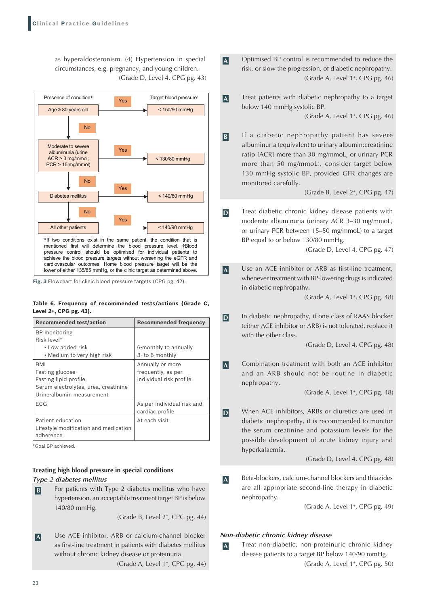as hyperaldosteronism. (4) Hypertension in special circumstances, e.g. pregnancy, and young children. (Grade D, Level 4, CPG pg. 43)



**Fig. 3** Flowchart for clinic blood pressure targets (CPG pg. 42).

#### **Table 6. Frequency of recommended tests/actions (Grade C, Level 2+, CPG pg. 43).**

| <b>Recommended test/action</b>        | <b>Recommended frequency</b> |
|---------------------------------------|------------------------------|
| BP monitoring                         |                              |
| Risk level*                           |                              |
| • Low added risk                      | 6-monthly to annually        |
| • Medium to very high risk            | 3- to 6-monthly              |
| <b>BMI</b>                            | Annually or more             |
| <b>Fasting glucose</b>                | frequently, as per           |
| Fasting lipid profile                 | individual risk profile      |
| Serum electrolytes, urea, creatinine  |                              |
| Urine-albumin measurement             |                              |
| <b>ECG</b>                            | As per individual risk and   |
|                                       | cardiac profile              |
| Patient education                     | At each visit                |
| Lifestyle modification and medication |                              |
| adherence                             |                              |

\*Goal BP achieved.

# **Treating high blood pressure in special conditions** *Type 2 diabetes mellitus*

**B** For patients with Type 2 diabetes mellitus who have hypertension, an acceptable treatment target BP is below 140/80 mmHg.

(Grade B, Level 2+, CPG pg. 44)

**A** Use ACE inhibitor, ARB or calcium-channel blocker as first-line treatment in patients with diabetes mellitus without chronic kidney disease or proteinuria. (Grade A, Level 1+, CPG pg. 44)

- **A** Optimised BP control is recommended to reduce the risk, or slow the progression, of diabetic nephropathy. (Grade A, Level  $1^+$ , CPG pg. 46)
- **A** Treat patients with diabetic nephropathy to a target below 140 mmHg systolic BP.

(Grade A, Level 1<sup>+</sup>, CPG pg. 46)

**B** If a diabetic nephropathy patient has severe albuminuria (equivalent to urinary albumin:creatinine ratio [ACR] more than 30 mg/mmoL, or urinary PCR more than 50 mg/mmoL), consider target below 130 mmHg systolic BP, provided GFR changes are monitored carefully.

(Grade B, Level 2+, CPG pg. 47)

**D** Treat diabetic chronic kidney disease patients with moderate albuminuria (urinary ACR 3–30 mg/mmoL, or urinary PCR between 15–50 mg/mmoL) to a target BP equal to or below 130/80 mmHg.

(Grade D, Level 4, CPG pg. 47)

**A** Use an ACE inhibitor or ARB as first-line treatment, whenever treatment with BP-lowering drugs is indicated in diabetic nephropathy.

(Grade A, Level 1+, CPG pg. 48)

**D** In diabetic nephropathy, if one class of RAAS blocker (either ACE inhibitor or ARB) is not tolerated, replace it with the other class.

(Grade D, Level 4, CPG pg. 48)

**A** Combination treatment with both an ACE inhibitor and an ARB should not be routine in diabetic nephropathy.

(Grade A, Level 1+, CPG pg. 48)

**D** When ACE inhibitors, ARBs or diuretics are used in diabetic nephropathy, it is recommended to monitor the serum creatinine and potassium levels for the possible development of acute kidney injury and hyperkalaemia.

(Grade D, Level 4, CPG pg. 48)

**A** Beta-blockers, calcium-channel blockers and thiazides are all appropriate second-line therapy in diabetic nephropathy.

(Grade A, Level 1<sup>+</sup>, CPG pg. 49)

# *Non-diabetic chronic kidney disease*

**A** Treat non-diabetic, non-proteinuric chronic kidney disease patients to a target BP below 140/90 mmHg. (Grade A, Level 1<sup>+</sup>, CPG pg. 50)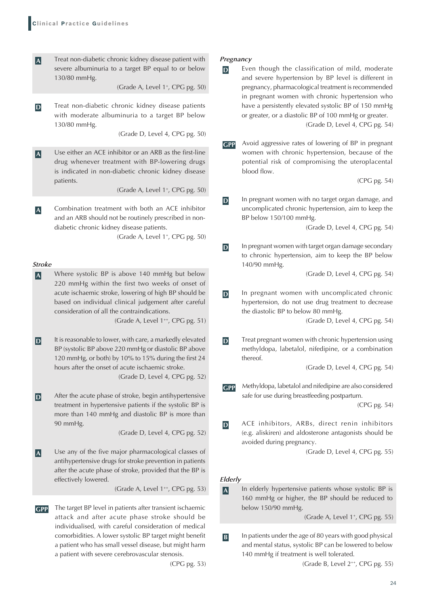**A** Treat non-diabetic chronic kidney disease patient with severe albuminuria to a target BP equal to or below 130/80 mmHg.

(Grade A, Level 1+, CPG pg. 50)

**D** Treat non-diabetic chronic kidney disease patients with moderate albuminuria to a target BP below 130/80 mmHg.

(Grade D, Level 4, CPG pg. 50)

**A** Use either an ACE inhibitor or an ARB as the first-line drug whenever treatment with BP-lowering drugs is indicated in non-diabetic chronic kidney disease patients.

(Grade A, Level 1<sup>+</sup>, CPG pg. 50)

**A** Combination treatment with both an ACE inhibitor and an ARB should not be routinely prescribed in nondiabetic chronic kidney disease patients.

(Grade A, Level 1+, CPG pg. 50)

### *Stroke*

**A** Where systolic BP is above 140 mmHg but below 220 mmHg within the first two weeks of onset of acute ischaemic stroke, lowering of high BP should be based on individual clinical judgement after careful consideration of all the contraindications.

(Grade A, Level 1<sup>++</sup>, CPG pg. 51)

**D** It is reasonable to lower, with care, a markedly elevated BP (systolic BP above 220 mmHg or diastolic BP above 120 mmHg, or both) by 10% to 15% during the first 24 hours after the onset of acute ischaemic stroke.

(Grade D, Level 4, CPG pg. 52)

**D** After the acute phase of stroke, begin antihypertensive treatment in hypertensive patients if the systolic BP is more than 140 mmHg and diastolic BP is more than 90 mmHg.

(Grade D, Level 4, CPG pg. 52)

**A** Use any of the five major pharmacological classes of antihypertensive drugs for stroke prevention in patients after the acute phase of stroke, provided that the BP is effectively lowered.

(Grade A, Level 1<sup>++</sup>, CPG pg. 53)

**GPP** The target BP level in patients after transient ischaemic attack and after acute phase stroke should be individualised, with careful consideration of medical comorbidities. A lower systolic BP target might benefit a patient who has small vessel disease, but might harm a patient with severe cerebrovascular stenosis.

(CPG pg. 53)

#### *Pregnancy*

- **D** Even though the classification of mild, moderate and severe hypertension by BP level is different in pregnancy, pharmacological treatment is recommended in pregnant women with chronic hypertension who have a persistently elevated systolic BP of 150 mmHg or greater, or a diastolic BP of 100 mmHg or greater. (Grade D, Level 4, CPG pg. 54)
- **GPP** Avoid aggressive rates of lowering of BP in pregnant women with chronic hypertension, because of the potential risk of compromising the uteroplacental blood flow.

(CPG pg. 54)

**D** In pregnant women with no target organ damage, and uncomplicated chronic hypertension, aim to keep the BP below 150/100 mmHg.

(Grade D, Level 4, CPG pg. 54)

**D** In pregnant women with target organ damage secondary to chronic hypertension, aim to keep the BP below 140/90 mmHg.

(Grade D, Level 4, CPG pg. 54)

**D** In pregnant women with uncomplicated chronic hypertension, do not use drug treatment to decrease the diastolic BP to below 80 mmHg.

(Grade D, Level 4, CPG pg. 54)

**D** Treat pregnant women with chronic hypertension using methyldopa, labetalol, nifedipine, or a combination thereof.

(Grade D, Level 4, CPG pg. 54)

**GPP** Methyldopa, labetalol and nifedipine are also considered safe for use during breastfeeding postpartum.

(CPG pg. 54)

**D** ACE inhibitors, ARBs, direct renin inhibitors (e.g. aliskiren) and aldosterone antagonists should be avoided during pregnancy.

(Grade D, Level 4, CPG pg. 55)

#### *Elderly*

**A** In elderly hypertensive patients whose systolic BP is 160 mmHg or higher, the BP should be reduced to below 150/90 mmHg.

(Grade A, Level 1<sup>+</sup>, CPG pg. 55)

**B** In patients under the age of 80 years with good physical and mental status, systolic BP can be lowered to below 140 mmHg if treatment is well tolerated.

(Grade B, Level 2++, CPG pg. 55)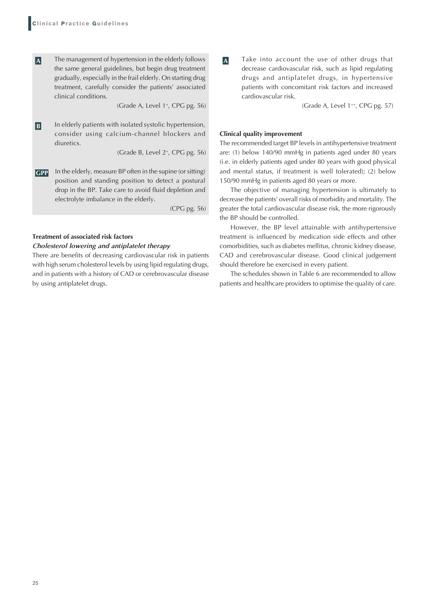**A** The management of hypertension in the elderly follows the same general guidelines, but begin drug treatment gradually, especially in the frail elderly. On starting drug treatment, carefully consider the patients' associated clinical conditions.

(Grade A, Level 1<sup>+</sup>, CPG pg. 56)

**B** In elderly patients with isolated systolic hypertension, consider using calcium-channel blockers and diuretics.

(Grade B, Level 2+, CPG pg. 56)

**GPP** In the elderly, measure BP often in the supine (or sitting) position and standing position to detect a postural drop in the BP. Take care to avoid fluid depletion and electrolyte imbalance in the elderly.

(CPG pg. 56)

# **Treatment of associated risk factors**

#### *Cholesterol lowering and antiplatelet therapy*

There are benefits of decreasing cardiovascular risk in patients with high serum cholesterol levels by using lipid regulating drugs, and in patients with a history of CAD or cerebrovascular disease by using antiplatelet drugs.

**A** Take into account the use of other drugs that decrease cardiovascular risk, such as lipid regulating drugs and antiplatelet drugs, in hypertensive patients with concomitant risk factors and increased cardiovascular risk.

(Grade A, Level 1<sup>++</sup>, CPG pg. 57)

#### **Clinical quality improvement**

The recommended target BP levels in antihypertensive treatment are: (1) below 140/90 mmHg in patients aged under 80 years (i.e. in elderly patients aged under 80 years with good physical and mental status, if treatment is well tolerated); (2) below 150/90 mmHg in patients aged 80 years or more.

The objective of managing hypertension is ultimately to decrease the patients' overall risks of morbidity and mortality. The greater the total cardiovascular disease risk, the more rigorously the BP should be controlled.

However, the BP level attainable with antihypertensive treatment is influenced by medication side effects and other comorbidities, such as diabetes mellitus, chronic kidney disease, CAD and cerebrovascular disease. Good clinical judgement should therefore be exercised in every patient.

The schedules shown in Table 6 are recommended to allow patients and healthcare providers to optimise the quality of care.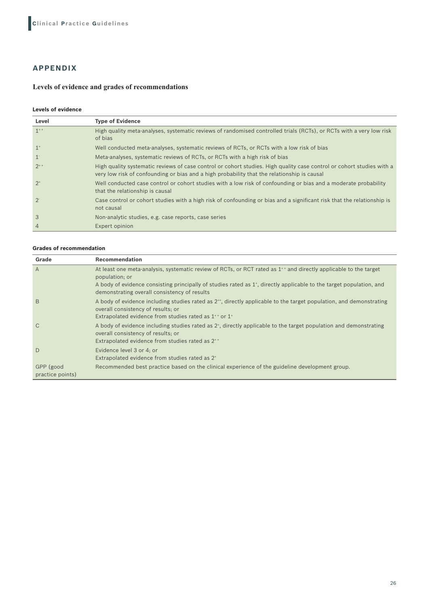# **APPENDIX**

# **Levels of evidence and grades of recommendations**

# **Levels of evidence**

| Level                | <b>Type of Evidence</b>                                                                                                                                                                                              |
|----------------------|----------------------------------------------------------------------------------------------------------------------------------------------------------------------------------------------------------------------|
| $1^{++}$             | High quality meta-analyses, systematic reviews of randomised controlled trials (RCTs), or RCTs with a very low risk<br>of bias                                                                                       |
| $1^+$                | Well conducted meta-analyses, systematic reviews of RCTs, or RCTs with a low risk of bias                                                                                                                            |
| $\mathbf{1}^{\cdot}$ | Meta-analyses, systematic reviews of RCTs, or RCTs with a high risk of bias                                                                                                                                          |
| $2^{+}$              | High quality systematic reviews of case control or cohort studies. High quality case control or cohort studies with a<br>very low risk of confounding or bias and a high probability that the relationship is causal |
| $2^+$                | Well conducted case control or cohort studies with a low risk of confounding or bias and a moderate probability<br>that the relationship is causal                                                                   |
| $2 -$                | Case control or cohort studies with a high risk of confounding or bias and a significant risk that the relationship is<br>not causal                                                                                 |
| 3                    | Non-analytic studies, e.g. case reports, case series                                                                                                                                                                 |
| 4                    | Expert opinion                                                                                                                                                                                                       |

#### **Grades of recommendation**

| Grade                         | <b>Recommendation</b>                                                                                                                                                                                                                                                                                                              |
|-------------------------------|------------------------------------------------------------------------------------------------------------------------------------------------------------------------------------------------------------------------------------------------------------------------------------------------------------------------------------|
| $\overline{A}$                | At least one meta-analysis, systematic review of RCTs, or RCT rated as 1 <sup>++</sup> and directly applicable to the target<br>population; or<br>A body of evidence consisting principally of studies rated as 1 <sup>*</sup> , directly applicable to the target population, and<br>demonstrating overall consistency of results |
| B                             | A body of evidence including studies rated as $2^{+}$ , directly applicable to the target population, and demonstrating<br>overall consistency of results; or<br>Extrapolated evidence from studies rated as $1^{+}$ or $1^{+}$                                                                                                    |
| $\mathcal{C}$                 | A body of evidence including studies rated as 2 <sup>*</sup> , directly applicable to the target population and demonstrating<br>overall consistency of results; or<br>Extrapolated evidence from studies rated as 2 <sup>++</sup>                                                                                                 |
| D                             | Evidence level 3 or 4; or<br>Extrapolated evidence from studies rated as 2 <sup>+</sup>                                                                                                                                                                                                                                            |
| GPP (good<br>practice points) | Recommended best practice based on the clinical experience of the guideline development group.                                                                                                                                                                                                                                     |